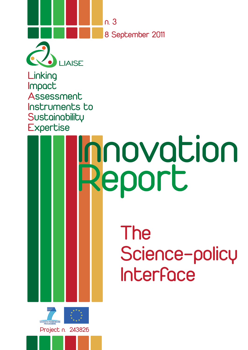

LIAISE **Linking** Impact **Assessment** Instruments to **Sustainability Expertise** 

# The Science-policy Interface Innovation Report

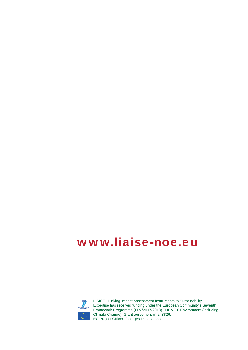# www.liaise-noe.eu



LIAISE - Linking Impact Assessment Instruments to Sustainability Expertise has received funding under the European Community's Seventh Framework Programme (FP7/2007-2013) THEME 6 Environment (including Climate Change). Grant agreement n° 243826. EC Project Officer: Georges Deschamps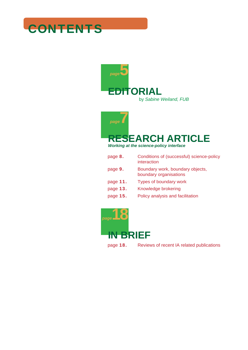# **CONTENTS**





*Working at the science-policy interface*

| page 8.  | Conditions of (successful) science-policy<br>interaction   |
|----------|------------------------------------------------------------|
| page 9.  | Boundary work, boundary objects,<br>boundary organisations |
| page 11. | Types of boundary work                                     |
| page 13. | Knowledge brokering                                        |
| page 15. | Policy analysis and facilitation                           |
|          |                                                            |



page 18. Reviews of recent IA related publications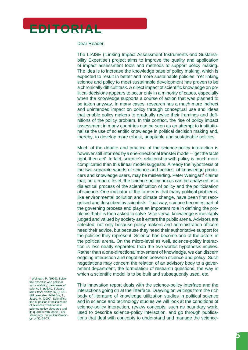

Dear Reader,

The LIAISE ('Linking Impact Assessment Instruments and Sustainability Expertise') project aims to improve the quality and application of impact assessment tools and methods to support policy making. The idea is to increase the knowledge base of policy making, which is expected to result in better and more sustainable policies. Yet linking science and policy to meet sustainable development has proven to be a chronically difficult task. A direct impact of scientific knowledge on political decisions appears to occur only in a minority of cases, especially when the knowledge supports a course of action that was planned to be taken anyway. In many cases, research has a much more indirect and unintended impact on policy through conceptual use and ideas that enable policy makers to gradually revise their framings and definitions of the policy problem. In this context, the rise of policy impact assessment in many countries can be seen as an attempt to institutionalise the use of scientific knowledge in political decision making and, thereby, to develop more robust, adaptable and sustainable policies.

Much of the debate and practice of the science-policy interaction is however still informed by a one-directional transfer model – 'get the facts right, then act'. In fact, science's relationship with policy is much more complicated than this linear model suggests. Already the hypothesis of the two separate worlds of science and politics, of knowledge producers and knowledge users, may be misleading. Peter Weingart<sup>1</sup> claims that, on a macro level, the science-policy nexus can be analysed as a dialectical process of the scientification of policy and the politicisation of science. One indicator of the former is that many political problems, like environmental pollution and climate change, have been first recognised and described by scientists. That way, science becomes part of the governing process and plays an important role in defining the problems that it is then asked to solve. Vice versa, knowledge is inevitably judged and valued by society as it enters the public arena. Advisors are selected, not only because policy makers and administration officers need their advice, but because they need their authoritative support for the policies they represent. Science has become one of the actors in the political arena. On the micro-level as well, science-policy interaction is less neatly separated than the two-worlds hypothesis implies. Rather than a one-directional movement of knowledge, we can discern ongoing interaction and negotiation between science and policy. Such negotiations may concern the relation of an advisory body to a government department, the formulation of research questions, the way in which a scientific model is to be built and subsequently used, etc.

*1* Weingart, P. (1999), Scientific expertise and political accountability: paradoxes of science in politics. *Science and Public Policy* 26(3): 151- 161; see also Hellström, T., Jacob, M. (2000), Scientification of politics or politicization of science? Traditionalist science-policy discourse and its quarrels with Mode 2 epistemology. *Social Epistemology* 14(1): 69-77.

This innovation report deals with the science-policy interface and the interactions going on at the interface. Drawing on writings from the rich body of literature of knowledge utilization studies in political science and in science and technology studies we will look at the conditions of science-policy interaction, review concepts, such as boundary work, used to describe science-policy interaction, and go through publications that deal with concepts to understand and manage the science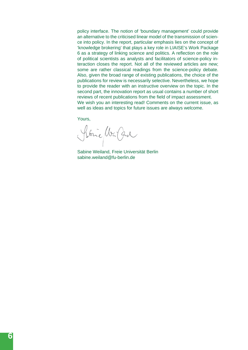policy interface. The notion of 'boundary management' could provide an alternative to the criticised linear model of the transmission of science into policy. In the report, particular emphasis lies on the concept of 'knowledge brokering' that plays a key role in LIAISE's Work Package 6 as a strategy of linking science and politics. A reflection on the role of political scientists as analysts and facilitators of science-policy interaction closes the report. Not all of the reviewed articles are new; some are rather classical readings from the science-policy debate. Also, given the broad range of existing publications, the choice of the publications for review is necessarily selective. Nevertheless, we hope to provide the reader with an instructive overview on the topic. In the second part, the innovation report as usual contains a number of short reviews of recent publications from the field of impact assessment. We wish you an interesting read! Comments on the current issue, as well as ideas and topics for future issues are always welcome.

Yours,

Stric War Car

Sabine Weiland, Freie Universität Berlin sabine.weiland@fu-berlin.de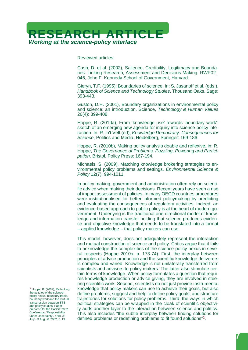

Reviewed articles:

Cash, D. et al. (2002), Salience, Credibility, Legitimacy and Boundaries: Linking Research, Assessment and Decisions Making. RWP02\_ 046, John F. Kennedy School of Government, Harvard.

Gieryn, T.F. (1995): Boundaries of science. In: S. Jasanoff et al. (eds.), *Handbook of Science and Technology Studies*. Thousand Oaks, Sage: 393-443.

Guston, D.H. (2001), Boundary organizations in environmental policy and science: an introduction. Science, *Technology & Human Values* 26(4): 399-408.

Hoppe, R. (2010a), From 'knowledge use' towards 'boundary work': sketch of an emerging new agenda for inquiry into science-policy interaction. In: R. in't Velt (ed), *Knowledge Democracy. Consequences for Science*, Politics and Media. Heidelberg, Springer: 169-186.

Hoppe, R. (2010b), Making policy analysis doable and reflexive, in: R. Hoppe, *The Governance of Problems. Puzzling, Powering and Participation*. Bristol, Policy Press: 167-194.

Michaels, S. (2009), Matching knowledge brokering strategies to environmental policy problems and settings. *Environmental Science & Policy* 12(7): 994-1011.

In policy making, government and administration often rely on scientific advice when making their decisions. Recent years have seen a rise of impact assessment of policies. In many OECD countries procedures were institutionalised for better informed policymaking by predicting and evaluating the consequences of regulatory activities. Indeed, an evidence-based approach to public policy is at the heart of modern government. Underlying is the traditional one-directional model of knowledge and information transfer holding that science produces evidence and objective knowledge that needs to be translated into a format – applied knowledge – that policy makers can use.

This model, however, does not adequately represent the interaction and mutual construction of science and policy. Critics argue that it fails to acknowledge the complexities of the science-policy nexus in several respects (Hoppe 2010a, p. 173-74): First, the interplay between principles of advice production and the scientific knowledge deliverers is complex and varied. Knowledge is not unilaterally transferred from scientists and advisors to policy makers. The latter also stimulate certain forms of knowledge. When policy formulates a question that requires knowledge production or advice giving, they are involved in steering scientific work. Second, scientists do not just provide instrumental knowledge that policy makers can use to achieve their goals, but also define problems, suggest and help to define policy goals, and structure trajectories for solutions for policy problems. Third, the ways in which political strategies can be wrapped in the cloak of scientific objectivity adds another layer to the interaction between science and politics. This also includes "the subtle interplay between finding solutions for defined problems or redefining problems to fit found solutions"2.

*<sup>2</sup>* Hoppe, R. (2002), Rethinking the puzzles of the sciencepolicy nexus: boundary traffic, boundary work and the mutual transgression between STS and policy studies. Paper prepared for the EASST 2002 Conference, 'Responsibility under Uncertainty'. York, 31 July - 3 August, 2002, p. 19*.*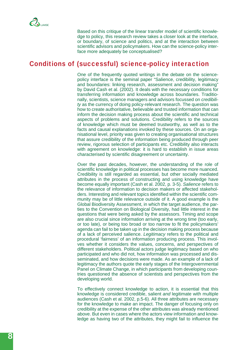Based on this critique of the linear transfer model of scientific knowledge to policy, this research review takes a closer look at the interface, or boundary, of science and politics, and at the interaction between scientific advisors and policymakers. How can the science-policy interface more adequately be conceptualised?

#### Conditions of (successful) science-policy interaction

One of the frequently quoted writings in the debate on the sciencepolicy interface is the seminal paper "Salience, credibility, legitimacy and boundaries: linking research, assessment and decision making" by David Cash et al. (2002). It deals with the necessary conditions for transferring information and knowledge across boundaries. Traditionally, scientists, science managers and advisors focussed on *credibility* as the currency of doing policy-relevant research. The question was how to create authoritative, believable and trusted information that can inform the decision making process about the scientific and technical aspects of problems and solutions. Credibility refers to the sources of knowledge which must be deemed trustworthy, as well as to the facts and causal explanations invoked by these sources. On an organisational level, priority was given to creating organisational structures that assure credibility of the information being produced through peer review, rigorous selection of participants etc. Credibility also interacts with agreement on knowledge: it is hard to establish in issue areas characterised by scientific disagreement or uncertainty.

Over the past decades, however, the understanding of the role of scientific knowledge in political processes has become more nuanced. Credibility is still regarded as essential, but other socially mediated attributes in the process of constructing and using knowledge have become equally important (Cash et al. 2002, p. 3-5). *Salience* refers to the relevance of information to decision makers or affected stakeholders. Interesting and relevant topics identified within the scientific community may be of little relevance outside of it. A good example is the Global Biodiversity Assessment, in which the target audience, the parties to the Convention on Biological Diversity, had little interest in the questions that were being asked by the assessors. Timing and scope are also crucial since information arriving at the wrong time (too early, or too late), or being too broad or too narrow to fit the policymakers' agenda can fail to be taken up in the decision making process because of a lack of perceived salience. *Legitimacy* refers to the political and procedural 'fairness' of an information producing process. This involves whether it considers the values, concerns, and perspectives of different stakeholders. Political actors judge legitimacy based on who participated and who did not, how information was processed and disseminated, and how decisions were made. As an example of a lack of legitimacy the authors quote the early stages of the Intergovernmental Panel on Climate Change, in which participants from developing countries questioned the absence of scientists and perspectives from the developing world.

To effectively connect knowledge to action, it is essential that this knowledge is considered credible, salient *and* legitimate with multiple audiences (Cash et al. 2002, p.5-6). All three attributes are necessary for the knowledge to make an impact. The danger of focusing only on credibility at the expense of the other attributes was already mentioned above. But even in cases where the actors view information and knowledge as having two of the attributes, they might fail to influence the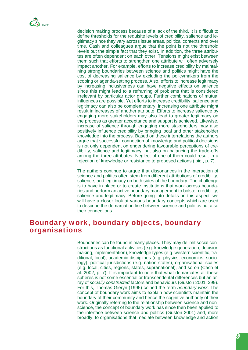decision making process because of a lack of the third. It is difficult to define thresholds for the requisite levels of credibility, salience and legitimacy since they vary across issue areas, political contexts and over time. Cash and colleagues argue that the point is not the threshold levels but the simple fact that they exist. In addition, the three attributes are often dependent on each other. Tensions might exist between them such that efforts to strengthen one attribute will often adversely impact another. For example, efforts to increase credibility by maintaining strong boundaries between science and politics might have the cost of decreasing salience by excluding the policymakers from the scoping or agenda-setting process. Also, efforts to increase legitimacy by increasing inclusiveness can have negative effects on salience since this might lead to a reframing of problems that is considered irrelevant by particular actor groups. Further combinations of mutual influences are possible. Yet efforts to increase credibility, salience and legitimacy can also be complementary: increasing one attribute might result in increases of another attribute. Efforts to increase salience by engaging more stakeholders may also lead to greater legitimacy on the process as greater acceptance and support is achieved. Likewise, increase of salience through engaging more stakeholders may also positively influence credibility by bringing local and other stakeholder knowledge into the process. Based on these interrelations the authors argue that successful connection of knowledge and political decisions is not only dependent on engendering favourable perceptions of credibility, salience and legitimacy, but also on balancing the trade-offs among the three attributes. Neglect of one of them could result in a rejection of knowledge or resistance to proposed actions (ibid., p. 7).

The authors continue to argue that dissonances in the interaction of science and politics often stem from different attributions of credibility, salience, and legitimacy on both sides of the boundary. The challenge is to have in place or to create institutions that work across boundaries and perform an active boundary management to bolster credibility, salience and legitimacy. Before going into details on this aspect, we will have a closer look at various boundary concepts which are used to describe the demarcation line between science and politics but also their connections.

#### Boundary work, boundary objects, boundary organisations

Boundaries can be found in many places. They may delimit social constructions as functional activities (e.g. knowledge generation, decision making, implementation), knowledge types (e.g. western scientific, traditional, local), academic disciplines (e.g. physics, economics, sociology), political jurisdictions (e.g. nation states), organisational scales (e.g. local, cities, regions, states, supranational), and so on (Cash et al. 2002, p. 7). It is important to note that what demarcates all these spheres is not some essential or transcendental differences but an array of *socially constructed* factors and behaviours (Guston 2001: 399). For this, Thomas Gieryn (1995) coined the term *boundary work*. The concept of boundary work aims to explain how scientists maintain the boundary of their community and hence the cognitive authority of their work. Originally referring to the relationship between science and nonscience, the concept of boundary work has since then been applied to the interface between science and politics (Guston 2001) and, more broadly, to organisations that mediate between knowledge and action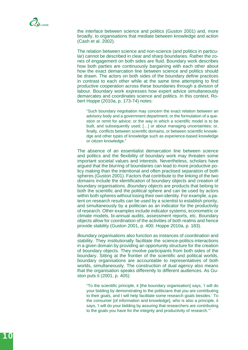the interface between science and politics (Guston 2001) and, more broadly, to organisations that mediate between knowledge and action (Cash et al. 2002).

The relation between science and non-science (and politics in particular) cannot be described in clear and sharp boundaries. Rather the zones of engagement on both sides are fluid. Boundary work describes how both parties are continuously bargaining with each other about how the exact demarcation line between science and politics should be drawn. The actors on both sides of the boundary define practices in contrast to each other while at the same time attempting to find productive cooperation across these boundaries through a division of labour. Boundary work expresses how expert advice simultaneously demarcates and coordinates science and politics. In this context, Robert Hoppe (2010a, p. 173-74) notes:

"Such boundary negotiation may concern the exact relation between an advisory body and a government department; or the formulation of a question or remit for advice; or the way in which a scientific model is to be built, and subsequently used; […] or about managing uncertainties; or, finally, conflicts between scientific domains, or between scientific knowledge and other types of knowledge such as experience-based knowledge or citizen knowledge."

The absence of an essentialist demarcation line between science and politics and the flexibility of boundary work may threaten some important societal values and interests. Nevertheless, scholars have argued that the blurring of boundaries can lead to more productive policy making than the intentional and often practised separation of both spheres (Guston 2001). Factors that contribute to the linking of the two domains include the identification of boundary objects and creation of boundary organisations. *Boundary objects* are products that belong to both the scientific and the political sphere and can be used by actors within both spheres without losing their own identity. For example, a patent on research results can be used by a scientist to establish priority, and simultaneously by a politician as an indicator for the productivity of research. Other examples include indicator systems, econometric or climate models, bi-annual audits, assessment reports, etc. Boundary objects allow for coordination of the activities of both realms and hence provide stability (Guston 2001, p. 400; Hoppe 2010a, p. 183).

*Boundary organisations* also function as instances of coordination and stability. They institutionally facilitate the science-politics-interactions in a given domain by providing an opportunity structure for the creation of boundary objects. They involve participants from both sides of the boundary. Sitting at the frontier of the scientific and political worlds, boundary organisations are accountable to representatives of both worlds, simultaneously. The construction of dual agency also means that the organisation speaks differently to different audiences. As Guston puts it (2001, p. 405):

"To the scientific principle, it [the boundary organisation] says, 'I will do your bidding by demonstrating to the politicians that you are contributing to their goals, and I will help facilitate some research goals besides.' To the consumer [of information and knowledge], who is also a principle, it says, 'I will do your bidding by assuring that researchers are contributing to the goals you have for the integrity and productivity of research.'"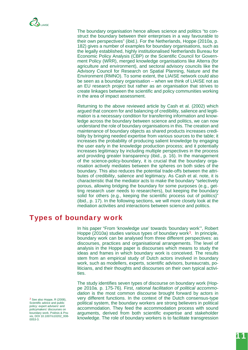

The boundary organisation hence allows science and politics "to construct the boundary between their enterprises in a way favourable to their own perspectives" (ibid.). For the Netherlands, Hoppe (2010a, p. 182) gives a number of examples for boundary organisations, such as the legally established, highly institutionalised Netherlands Bureau for Economic Policy Analysis (CBP) or the Scientific Council for Government Policy (WRR), merged knowledge organisations like Alterra (for agriculture and environment), and sectoral advisory councils like the Advisory Council for Research on Spatial Planning, Nature and the Environment (RMNO). To some extent, the LIAISE network could also be seen as a boundary organisation – when we think of LIAISE not as an EU research project but rather as an organisation that strives to create linkages between the scientific and policy communities working in the area of impact assessment.

Returning to the above reviewed article by Cash et al. (2002) which argued that concern for and balancing of credibility, salience and legitimation is a necessary condition for transferring information and knowledge across the boundary between science and politics, we can now understand the role of boundary organisations in this. The creation and maintenance of boundary objects as shared products increases credibility by bringing needed expertise from various sources to the table; it increases the probability of producing salient knowledge by engaging the user early in the knowledge production process; and it potentially increases legitimacy by including multiple perspectives in the process and providing greater transparency (ibid., p. 16). In the management of the science-policy-boundary, it is crucial that the boundary organisation actively mediates between the spheres on both sides of the boundary. This also reduces the potential trade-offs between the attributes of credibility, salience and legitimacy. As Cash et al. note, it is characteristic that the mediator acts to make the boundary "selectively porous, allowing bridging the boundary for some purposes (e.g., getting research user needs to researchers), but keeping the boundary solid for others (e.g., keeping the scientific process out of politics)" (ibid., p. 17). In the following sections, we will more closely look at the mediation activities and interactions between science and politics.

### Types of boundary work

In his paper "From 'knowledge use' towards 'boundary work'", Robert Hoppe (2010a) studies various types of boundary work<sup>3</sup>. In principle, boundary work can be analysed from three different perspectives: as discourses, practices and organisational arrangements. The level of analysis in the Hoppe paper is discourses which means to study the ideas and frames in which boundary work is conceived. The results stem from an empirical study of Dutch actors involved in boundary work, such as modellers, experts, scientific advisors, bureaucrats, politicians, and their thoughts and discourses on their own typical activities.

The study identifies seven types of discourse on boundary work (Hoppe 2010a. p. 175-76). First, *rational facilitation of political accommodation* is the most common discourse brought forward by actors in very different functions. In the context of the Dutch consensus-type political system, the boundary workers are strong believers in political accommodation. They feed the accommodation process with sound arguments, derived from both scientific expertise and stakeholder knowledge. The role of boundary workers is to facilitate transgression

*3* See also Hoppe, R (2008), Scientific advice and public policy: expert advisers' and policymakers' discourses on boundary work. Poièsis & Praxis, DOI 10.1007/s10202\_008- 0053-3.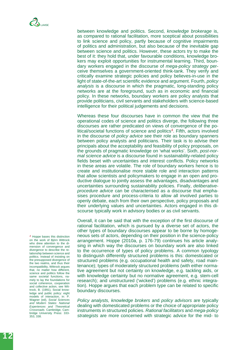between knowledge and politics. Second, *knowledge brokerage* is, as compared to rational facilitation, more sceptical about possibilities to link science and policy, partly because of cognitive impairments of politics and administration, but also because of the inevitable gap between science and politics. However, these actors try to make the best of it: they hold that, under favourable conditions, knowledge brokers may exploit opportunities for instrumental learning. Third, boundary workers engaged in the discourse of *mega-policy strategy* perceive themselves a government-oriented think-tank. They verify and critically examine strategic policies and policy believes-in-use in the light of state-of-the-art scientific evidence and argument. Fourth, *policy analysis* is a discourse in which the pragmatic, long-standing policy networks are at the foreground, such as in economic and financial policy. In these networks, boundary workers are policy analysts that provide politicians, civil servants and stakeholders with science-based intelligence for their political judgements and decisions.

Whereas these four discourses have in common the view that the operational codes of science and politics diverge, the following three discourses are rather predicated on views of convergence of the political/societal functions of science and politics<sup>4</sup>. Fifth, actors involved in the discourse of *policy advice* see their role as boundary spanners between policy analysts and politicians. Their task is to advise their principals about the acceptability and feasibility of policy proposals, on the grounds of pragmatic knowledge on 'what works'. Sixth, *post-normal science advice* is a discourse found in sustainability-related policy fields beset with uncertainties and interest conflicts. Policy networks in these areas are volatile. The role of boundary workers hence is to create and institutionalise more stable role and interaction patterns that allow scientists and policymakers to engage in an open and productive dialogue to jointly assess the advantages, disadvantages and uncertainties surrounding sustainability policies. Finally, *deliberativeprocedure advice* can be characterised as a discourse that emphasises procedure and process-criteria to allow all involved parties to openly debate, each from their own perspective, policy proposals and their underlying values and uncertainties. Actors engaged in this discourse typically work in advisory bodies or as civil servants.

Overall, it can be said that with the exception of the first discourse of rational facilitation, which is pursued by a diverse set of actors, the other types of boundary discourses appear to be borne by homogeneous sets of actors, depending on their position in the science-policy arrangement. Hoppe (2010a, p. 176-79) continues his article analysing in which way the discourses on boundary work are also linked to the occurrence of types of policy problems. A common typology to distinguish differently structured problems is this: domesticated or structured problems (e.g. occupational health and safety, road maintenance); types of moderately structured problems (with either normative agreement but not certainty on knowledge, e.g. tackling aids, or with knowledge certainty but no normative agreement, e.g. stem-cell research); and unstructured ('wicked') problems (e.g. ethnic integration). Hoppe argues that each problem type can be related to specific boundary discourses.

*Policy analysts, knowledge brokers* and *policy advisors* are typically dealing with domesticated problems or the choice of appropriate policy instruments in structured policies. *Rational facilitators* and *mega-policy strategists* are more concerned with strategic advice for the mid- to

*4* Hoppe bases this distinction on the work of Björn Wittrock who drew attention to the dimension of convergence and divergence to describe the relationship between science and politics. Instead of insisting on the presupposed divergence of the two realms, and thus their incompatibility, Wittrock argues that, no matter how different, science and politics follow the same societal functions, namely to lay the foundations for social coherence, cooperation and collective action, see Wittrock, B. (1991), Social knowledge and public policy: eight models of interaction, in: P. Wagner (ed), *Social Sciences and Modern States: National Experiences and Theoretical Crossroads*. Cambridge, Cambridge University Press: 333- 353, 338.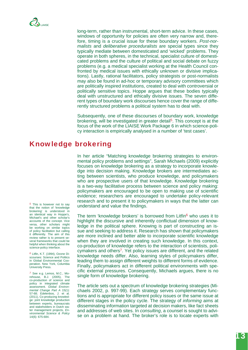long-term, rather than instrumental, short-term advice. In these cases, windows of opportunity for policies are often very narrow and, therefore, timing is a crucial issue for these boundary workers. *Post-normalists* and *deliberative proceduralists* are special types since they typically mediate between domesticated and 'wicked' problems. They operate in both spheres, in the technical, specialist culture of domesticated problems and the culture of political and social debate on fuzzy problems (e.g. a medical specialist working at the Health Council confronted by medical issues with ethically unknown or divisive implications). Lastly, rational facilitators, policy strategists or post-normalists may also be found in ad-hoc or temporary advisory committees which are politically inspired institutions, created to deal with controversial or politically sensitive topics. Hoppe argues that these bodies typically deal with unstructured and ethically divisive issues. The seven different types of boundary work discourses hence cover the range of differently structured problems a political system has to deal with.

Subsequently, one of these discourses of boundary work, knowledge brokering, will be investigated in greater detail5. This concept is at the focus of the work of the LIAISE Work Package 6 in which science-policy interaction is empirically analysed in a number of 'test cases'.

## Knowledge brokering

In her article "Matching knowledge brokering strategies to environmental policy problems and settings", Sarah Michaels (2009) explicitly focuses on knowledge brokering as a strategy to incorporate knowledge into decision making. Knowledge brokers are intermediates acting between scientists, who produce knowledge, and policymakers who are prospective users of that knowledge. Knowledge brokering is a two-way facilitative process between science and policy making: policymakers are encouraged to be open to making use of scientific evidence; researchers are encouraged to undertake policy-relevant research and to present it to policymakers in ways that the latter can understand and value the findings.

The term 'knowledge brokers' is borrowed from Litfin<sup>6</sup> who uses it to highlight the discursive and inherently conflictual dimension of knowledge in the political sphere. Knowing is part of constructing an issue and seeking to address it. Research has shown that policymakers are more inclined and better able to incorporate scientific knowledge when they are involved in creating such knowledge. In this context, co-production of knowledge refers to the interaction of scientists, policymakers and others<sup>7</sup>. Yet policy issues are different, and the related knowledge needs differ. Also, learning styles of policymakers differ, leading them to assign different weights to different forms of evidence. Finally, policymakers act in different political environments with specific external pressures. Consequently, Michaels argues, there is no single form of knowledge brokering.

The article sets out a spectrum of knowledge brokering strategies (Michaels 2002, p. 997-99). Each strategy serves complementary functions and is appropriate for different policy issues or the same issue at different stages in the policy cycle. The strategy of *informing* aims at disseminating information targeted at decision makers, like fact sheets and addresses of web sites. In *consulting*, a counsel is sought to advise on a problem at hand. The broker's role is to locate experts with

*5* This is however not to say that the notion of 'knowledge brokering' is understood in an identical way in Hoppe's, Michael's and other scholar's accounts of the concept. Vice versa, other scholars might be working on similar topics of policy facilitation but calling it differently. The aim of this review rather is to present several frameworks that could be helpful when thinking about the science-policy interface.

*6* Litfin, K.T. (1994), Ozone Discourses: Science and Politics in Global Environmental Cooperation. New York, Columbia University Press.

*7* See e.g. Lemos, M.C., Morehouse, B.J. (2005), The co-production of science and policy in integrated climate assessment. *Global Environmental Change Part A* 15(1): 57-68; Edelenbos, J. et al. (2011), Co-producing knowledge: joint knowledge production between experts, bureaucrats and stakeholders in Dutch water management projects, *Environmental Science & Policy*  14(6): 675-684.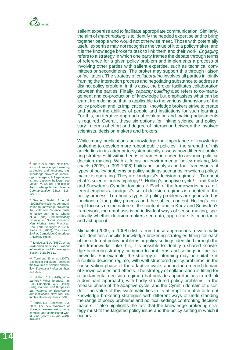salient expertise and to facilitate appropriate communication. Similarly, the aim of *matchmaking* is to identify the needed expertise and to bring together people who would not otherwise meet. Those with potentially useful expertise may not recognise the value of it to a policymaker; and it is the knowledge broker's task to link them and their work. *Engaging*  refers to a strategy in which one party frames the debate through terms of reference for a given policy problem and implements a process of involving other parties with salient expertise, such as technical committees or secondments. The broker may support this through liaison or facilitation. The strategy of *collaborating* involves all parties in jointly framing the interaction process and negotiating substance to address a distinct policy problem. In this case, the broker facilitates collaboration between the parties. Finally, *capacity building* also refers to co-management and co-production of knowledge but emphasises what can be learnt from doing so that is applicable to the various dimensions of the policy problem and its implications. Knowledge brokers strive to create and sustain the abilities of people and institutions for such learning. For this, an iterative approach of evaluation and making adjustments is required. Overall, these six options for linking science and policy<sup>8</sup> vary in terms of effort and degree of interaction between the involved scientists, decision makers and brokers.

While many publications acknowledge the importance of knowledge brokering to develop more robust public policies<sup>9</sup>, the strength of this article lies in its attempt to systematically assess how different brokering strategies fit within heuristic frames intended to advance political decision making. With a focus on environmental policy making, Michaels (2009, p. 999-1008) builds her analysis on four frameworks of types of policy problems or policy settings scenarios in which a policymaker is operating. They are Lindquist's decision regimes<sup>10</sup>, Turnhout et al.'s science policy typology<sup>11</sup>. Holling's adaptive cycle<sup>12</sup>, and Kurtz and Snowden's Cynefin domains<sup>13</sup>. Each of the frameworks has a different emphasis: Lindquist's set of decision regimes is oriented at the policy process; Turnhout's types of policy problems are generated as functions of the policy process and the subject content; Holling's concept focuses on the nature of the content; and in Kurtz and Snowden's framework, the emphasis is on individual ways of sense-making, specifically whether decision makers see data, appreciate its importance and act upon it.

Michaels (2009, p. 1008) distils from these approaches a systematic that identifies specific knowledge brokering strategies fitting for each of the different policy problems or policy settings identified through the four frameworks. Like this, it is possible to identify a shared knowledge brokering strategy common to problems and settings in the frameworks. For example, the strategy of informing may be suitable in a routine decision regime, with well-structured policy problems, in the conservation phase of the adaptive cycle, and in the ordered domain of known causes and effects. The strategy of collaboration is fitting for a fundamental decision regime (that provides opportunities to rethink a dominant approach), with badly structured policy problems, in the release phase of the adaptive cycle, and the Cynefin domain of disorder. The value of this systematic lies in its attempt to match different knowledge brokering strategies with different ways of understanding the range of policy problems and political settings confronting decision makers. It also highlights the fact that the knowledge brokering strategy must fit the targeted policy issue and the policy setting in which it occurs.

*8* There exist other classifications of knowledge brokering strategies and functions, e.g. knowledge brokers as knowledge managers, linkage agents and capacity builders, see Meyer, M. (2010), The rise of the knowledge broker, *Science Communication* 31(1): 118- 127, 121.

*9* See e.g. Bielak, A. et al. (2008), From science communication to knowledge brokering the shift from 'science push' to 'policy pull', in: D. Cheng et al. (eds), *Communicating Science in Social Contexts: New Models, New Practices*. New York, Springer: 201-226; Pielke, R. (2007), *The Honest Broker*. Cambridge, Cambridge University Press.

*10* Lindquist, E.A. (1989), What do decision models tell us about information use? *Knowledge in Society* 1(2): 86-111.

*11* Turnhout, E. et al. (2007), Ecological indicators: between the two fires of science and policy. *Ecological Indicators* 7(2): 215-228.

*12* Holling, C.S. (1995), What barriers? What bridges?, in: L.H. Gunerson, C.S. Holling (eds), *Barriers and Bridges to the Renewal of Ecosystems and Institutions*. New York, Columbia University Press: 3-34.

*13* Kurtz, C.F., Snowden, D.J. 2003, The new dynamics of strategy: sense-making in a complex and complicated world. *IBM Systems Journal* 42(3): 462-483.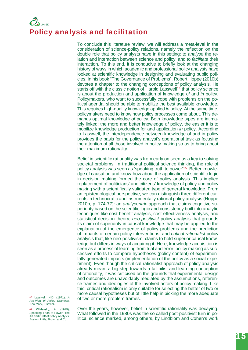## LIAISE Policy analysis and facilitation

To conclude this literature review, we will address a meta-level in the consideration of science-policy relations, namely the reflection on the double role that policy analysts have in this setting: to *analyse* the relation and interaction between science and policy, and to *facilitate* their interaction. To this end, it is conducive to briefly look at the changing history of ways in which academic and professional policy analysts have looked at scientific knowledge in designing and evaluating public policies. In his book "The Governance of Problems", Robert Hoppe (2010b) devotes a chapter to the changing conceptions of policy analysis. He starts off with the classic notion of Harold Lasswell<sup>14</sup> that policy science is about the production and application of knowledge *of* and *in* policy. Policymakers, who want to successfully cope with problems on the political agenda, should be able to mobilize the best available knowledge. This requires high-quality knowledge applied *in* policy. At the same time, policymakers need to know how policy processes come about. This demands optimal knowledge *of* policy. Both knowledge types are intimately linked: the more and better knowledge *of* policy, the easier it is to mobilize knowledge production for and application *in* policy. According to Lasswell, the interdependence between knowledge of and in policy provides the basis for the policy analyst's operational task as focusing the attention of all those involved in policy making so as to bring about their maximum rationality.

Belief in scientific rationality was from early on seen as a key to solving societal problems. In traditional political science thinking, the role of policy analysis was seen as 'speaking truth to power'15. Better knowledge of causation and know-how about the application of scientific logic in decision making formed the core of policy analysis. This implied replacement of politicians' and citizens' knowledge of policy and policy making with a scientifically validated type of general knowledge. From an epistemological perspective, we can distinguish three different currents in technocratic and instrumentally rational policy analysis (Hoppe 2010b, p. 174-77): an *analycentric* approach that claims cognitive superiority based on the scientific logic and consistency built into analytic techniques like cost-benefit analysis, cost-effectiveness-analysis, and statistical decision theory; *neo-positivist* policy analysis that grounds its claim of superiority in causal knowledge that may be applied to the explanation of the emergence of policy problems and the prediction of impacts of certain policy interventions; and *critical-rationalist* policy analysis that, like neo-positivism, claims to hold superior causal knowledge but differs in ways of acquiring it. Here, knowledge acquisition is seen as a process of learning from trial and error: policy making as successive efforts to compare hypotheses (policy content) of experimentally generated impacts (implementation of the policy as a social experiment). Even though the critical-rationalist approach of policy analysis already meant a big step towards a fallibilist and learning conception of rationality, it was criticised on the grounds that experimental design and outcomes are unavoidably mediated by the assumptions, reference frames and ideologies of the involved actors of policy making. Like this, critical rationalism is only suitable for selecting the better of two or more causal hypotheses but of little help in picking the more adequate of two or more problem frames.

*14* Lasswell, H.D. (1971), *A Pre-View of Policy Sciences*. New York, Elsevier.

*15* Wildavsky, A. (1979), Speaking Truth to Power: The Art and Craft of Policy Analysis. Boston, Little, Brown and Co.

Over the years, however, belief in scientific rationality was decaying. What followed in the 1980s was the so called post-positivist turn in political science marked, among others, by Lindblom and Cohen's work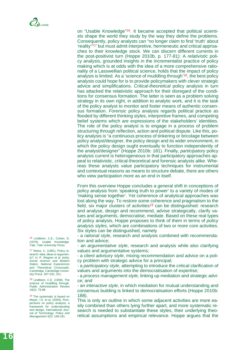on "Usable Knowledge"16. It became accepted that political scientists shape the world they study by the way they define the problems. Consequently, policy analysts can "no longer claim to find 'truth' about 'reality'"17 but must admit interpretive, hermeneutic and critical approaches to their knowledge stock. We can discern different currents in the post-positivist turn (Hoppe 2010b, p. 177-81): A *relativistic* policy analysis, grounded insights in the incrementalist practice of policy making which is at odds with the idea of a more comprehensive rationality of a Lasswellian political science, holds that the impact of policy analysis is limited. As a 'science of muddling through'18, the best policy analysts could hope for is to provide policymakers with clever strategic advice and simplifications. *Critical-theoretical* policy analysis in turn has attacked the relativistic approach for their disregard of the conditions for consensus formation. The latter is seen as a problem solving strategy in its own right, in addition to analytic work, and it is the task of the policy analyst to monitor and foster means of authentic consensus formation. *Forensic* policy analysis regards political practice as flooded by different thinking styles, interpretive frames, and competing belief systems which are expressions of the stakeholders' identities. The role of the policy analyst is to engage in a process of problem structuring through reflection, action and political dispute. Like this, policy analysis is "a continuous process of tinkering or bricolage between policy analyst/designer, the policy design and its wider environment, in which the policy design ought eventually to function independently of the analyst/designer" (Hoppe 2010b: 181). Finally, *participatory* policy analysis current is heterogeneous in that participatory approaches appeal to relativistic, critical-theoretical and forensic analysts alike. Whereas these analysts value participatory techniques for instrumental and contextual reasons as means to structure debate, there are others who view participation more as an end in itself.

From this overview Hoppe concludes a general shift in conceptions of policy analysis from 'speaking truth to power' to a variety of modes of 'making sense together'. Yet coherence of analytical approaches was lost along the way. To restore some coherence and pragmatism to the field, six major clusters of activities<sup>19</sup> can be distinguished: research and analyse, design and recommend, advise strategically, clarify values and arguments, democratise, mediate. Based on these real types of policy analysis, Hoppe proposes to think of them in terms of *policy analysis styles*, which are combinations of two or more core activities. Six styles can be distinguished, namely

- a *rational style*, research and analysis combined with recommendation and advice;

- an *argumentative style*, research and analysis while also clarifying values and argumentative systems;

- a *client advisory style*, mixing recommendation and advice on a policy problem with strategic advice for a principal;

- a *participatory style*, attempting to introduce the critical clarification of values and arguments into the democratisation of expertise;

- a *process management style*, linking up mediation and strategic advice; and

- an *interactive style*, in which mediation for mutual understanding and consensus building is linked to democratisation efforts (Hoppe 2010b: 188).

This is only an outline in which some adjacent activities are more easily combined than others lying further apart, and more systematic research is needed to substantiate these styles, their underlying theoretical assumptions and empirical relevance. Hoppe argues that the

*16* Lindblom, C.E., Cohen, D. (1979), *Usable Knowledge*. Yale, Yale University Press.

*17* Weiss, C. (1991), Policy research: data, ideas or arguments?, in: P. Wagner et al. (eds), *Social Science and Modern States: National Experiences and Theoretical Crossroads*. Cambridge, Cambridge University Press: 307-332, 321.

*18* Lindblom, C.E. (1959), The science of muddling through. *Public Administration Review*  19(2): 79-88.

*19* The systematic is based on Mayer, I.S. et al. (2004), Perspectives on policy analysis: a framework for understanding and design, *International Journal of Technology, Policy and Management* 4(2): 169-191*.*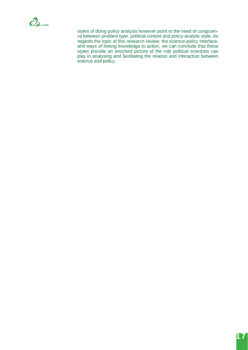

styles of doing policy analysis however point to the need of congruence between problem type, political context and policy-analytic style. As regards the topic of this research review: the science-policy interface, and ways of linking knowledge to action, we can conclude that these styles provide an enriched picture of the role political scientists can play in analysing and facilitating the relation and interaction between science and policy.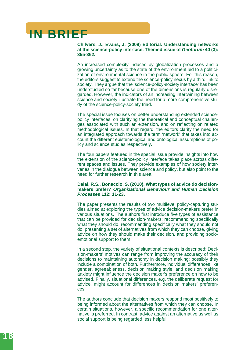# IN BRIEF

**Chilvers, J., Evans, J. (2009) Editorial: Understanding networks at the science-policy interface. Themed issue of** *Geoforum* **40 (3): 355-362.**

An increased complexity induced by globalization processes and a growing uncertainty as to the state of the environment led to a politicization of environmental science in the public sphere. For this reason, the editors suggest to extend the science-policy nexus by a third link to society. They argue that the 'science-policy-society interface' has been understudied so far because one of the dimensions is regularly disregarded. However, the indicators of an increasing intertwining between science and society illustrate the need for a more comprehensive study of the science-policy-society triad.

The special issue focuses on better understanding extended sciencepolicy interfaces, on clarifying the theoretical and conceptual challenges associated with such an extension, and on reflecting on related methodological issues. In that regard, the editors clarify the need for an integrated approach towards the term 'network' that takes into account the different epistemological and ontological assumptions of policy and science studies respectively.

The four papers featured in the special issue provide insights into how the extension of the science-policy interface takes place across different spaces and issues. They provide examples of how society intervenes in the dialogue between science and policy, but also point to the need for further research in this area.

#### **Dalal, R.S., Bonaccio, S. (2010), What types of advice do decisionmakers prefer?** *Organizational Behaviour and Human Decision Processes* **112: 11-23.**

The paper presents the results of two multilevel policy-capturing studies aimed at exploring the types of advice decision-makers prefer in various situations. The authors first introduce five types of assistance that can be provided for decision-makers: recommending specifically what they should do, recommending specifically what they should not do, presenting a set of alternatives from which they can choose, giving advice on how they should make their decision, and providing socioemotional support to them.

In a second step, the variety of situational contexts is described: Decision-makers' motives can range from improving the accuracy of their decisions to maintaining autonomy in decision making; possibly they include a combination of both. Furthermore, individual differences like gender, agreeableness, decision making style, and decision making anxiety might influence the decision maker's preference on how to be advised. Finally, situational differences, e.g. the deliberate request for advice, might account for differences in decision makers' preferences.

The authors conclude that decision makers respond most positively to being informed about the alternatives from which they can choose. In certain situations, however, a specific recommendation for one alternative is preferred. In contrast, advice against an alternative as well as social support is being regarded less helpful.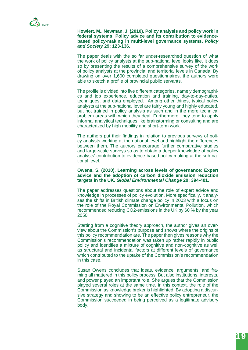#### **Howlett, M., Newman, J. (2010), Policy analysis and policy work in federal systems: Policy advice and its contribution to evidencebased policy-making in multi-level governance systems.** *Policy and Society* **29: 123-136.**

The paper deals with the so far under-researched question of what the work of policy analysts at the sub-national level looks like. It does so by presenting the results of a comprehensive survey of the work of policy analysts at the provincial and territorial levels in Canada. By drawing on over 1,600 completed questionnaires, the authors were able to sketch a profile of provincial public servants.

The profile is divided into five different categories, namely demographics and job experience, education and training, day-to-day-duties, techniques, and data employed. Among other things, typical policy analysts at the sub-national level are fairly young and highly educated, but not trained in policy analysis as such and in the more technical problem areas with which they deal. Furthermore, they tend to apply informal analytical techniques like brainstorming or consulting and are characterized by high mobility and short-term work.

The authors put their findings in relation to previous surveys of policy analysts working at the national level and highlight the differences between them. The authors encourage further comparative studies and large-scale surveys so as to obtain a deeper knowledge of policy analysts' contribution to evidence-based policy-making at the sub-national level.

#### **Owens, S. (2010), Learning across levels of governance: Expert advice and the adoption of carbon dioxide emission reduction targets in the UK.** *Global Environmental Change* **20: 394-401.**

The paper addresses questions about the role of expert advice and knowledge in processes of policy evolution. More specifically, it analyses the shifts in British climate change policy in 2003 with a focus on the role of the Royal Commission on Environmental Pollution, which recommended reducing CO2-emissions in the UK by 60 % by the year 2050.

Starting from a cognitive theory approach, the author gives an overview about the Commission's purpose and shows where the origins of this policy recommendation are. The paper then gives reasons why the Commission's recommendation was taken up rather rapidly in public policy and identifies a mixture of cognitive and non-cognitive as well as structural and incidental factors at different levels of governance which contributed to the uptake of the Commission's recommendation in this case.

Susan Owens concludes that ideas, evidence, arguments, and framing all mattered in this policy process. But also institutions, interests, and power played an important role. She argues that the Commission played several roles at the same time. In this context, the role of the Commission as knowledge broker is highlighted. By adopting a discursive strategy and showing to be an effective policy entrepreneur, the Commission succeeded in being perceived as a legitimate advisory body.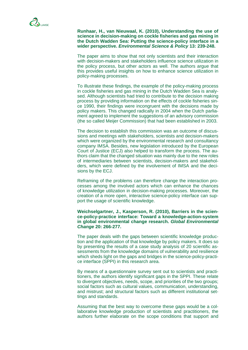**Runhaar, H., van Nieuwaal, K. (2010), Understanding the use of science in decision-making on cockle fisheries and gas mining in the Dutch Wadden Sea: Putting the science-policy interface in a wider perspective.** *Environmental Science & Policy* **13: 239-248.**

The paper aims to show that not only scientists and their interaction with decision-makers and stakeholders influence science utilization in the policy process, but other actors as well. The authors argue that this provides useful insights on how to enhance science utilization in policy-making processes.

To illustrate these findings, the example of the policy-making process in cockle fisheries and gas mining in the Dutch Wadden Sea is analysed. Although scientists had tried to contribute to the decision making process by providing information on the effects of cockle fisheries since 1990, their findings were incongruent with the decisions made by policy makers. This changed radically in 2004 when the Dutch parliament agreed to implement the suggestions of an advisory commission (the so called Meijer Commission) that had been established in 2003.

The decision to establish this commission was an outcome of discussions and meetings with stakeholders, scientists and decision-makers which were organized by the environmental research and consultancy company IMSA. Besides, new legislation introduced by the European Court of Justice (ECJ) also helped to transform the process. The authors claim that the changed situation was mainly due to the new roles of intermediaries between scientists, decision-makers and stakeholders, which were defined by the involvement of IMSA and the decisions by the ECJ.

Reframing of the problems can therefore change the interaction processes among the involved actors which can enhance the chances of knowledge utilization in decision-making processes. Moreover, the creation of a more open, interactive science-policy interface can support the usage of scientific knowledge.

**Weichselgartner, J., Kasperson, R. (2010), Barriers in the science-policy-practice interface: Toward a knowledge-action-system in global environmental change research.** *Global Environmental Change* **20: 266-277.** 

The paper deals with the gaps between scientific knowledge production and the application of that knowledge by policy makers. It does so by presenting the results of a case study analysis of 20 scientific assessments from the knowledge domains of vulnerability and resilience which sheds light on the gaps and bridges in the science-policy-practice interface (SPPI) in this research area.

By means of a questionnaire survey sent out to scientists and practitioners, the authors identify significant gaps in the SPPI. These relate to divergent objectives, needs, scope, and priorities of the two groups; social factors such as cultural values, communication, understanding, and mistrust; and structural factors such as different institutional settings and standards.

Assuming that the best way to overcome these gaps would be a collaborative knowledge production of scientists and practitioners, the authors further elaborate on the scope conditions that support and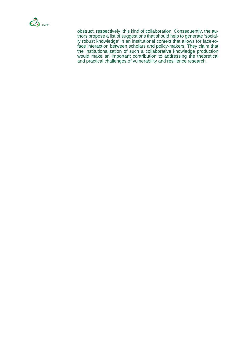

obstruct, respectively, this kind of collaboration. Consequently, the authors propose a list of suggestions that should help to generate 'socially robust knowledge' in an institutional context that allows for face-toface interaction between scholars and policy-makers. They claim that the institutionalization of such a collaborative knowledge production would make an important contribution to addressing the theoretical and practical challenges of vulnerability and resilience research.